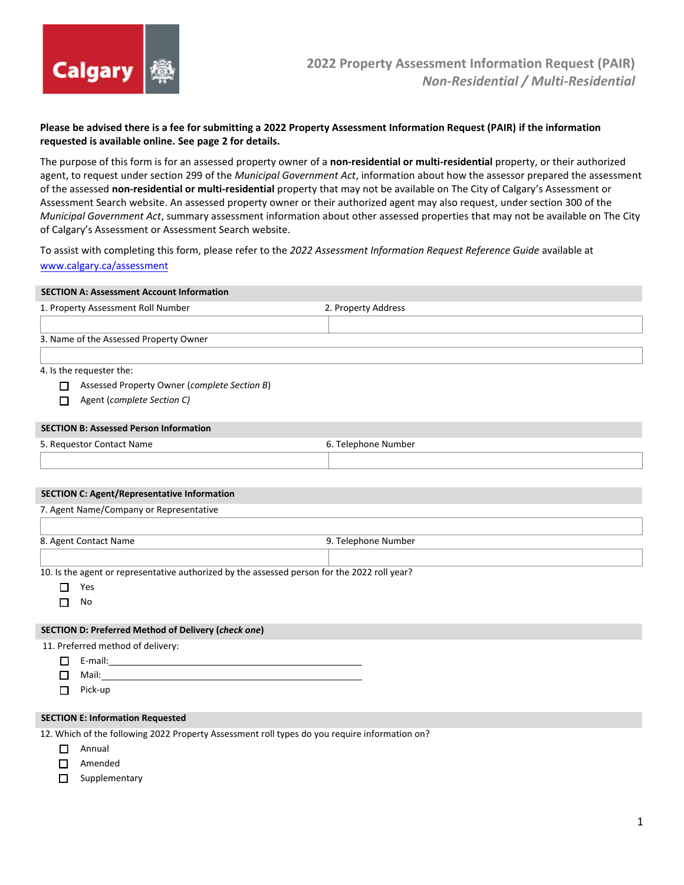

## **Please be advised there is a fee for submitting a 2022 Property Assessment Information Request (PAIR) if the information requested is available online. See page 2 for details.**

The purpose of this form is for an assessed property owner of a **non-residential or multi-residential** property, or their authorized agent, to request under section 299 of the *Municipal Government Act*, information about how the assessor prepared the assessment of the assessed **non-residential or multi-residential** property that may not be available on The City of Calgary's Assessment or Assessment Search website. An assessed property owner or their authorized agent may also request, under section 300 of the *Municipal Government Act*, summary assessment information about other assessed properties that may not be available on The City of Calgary's Assessment or Assessment Search website.

To assist with completing this form, please refer to the *2022 Assessment Information Request Reference Guide* available at [www.calgary.ca/assessment](http://www.calgary.ca/assessment)

# **SECTION A: Assessment Account Information**  1. Property Assessment Roll Number 2. Property Address 3. Name of the Assessed Property Owner

#### 4. Is the requester the:

- Assessed Property Owner (*complete Section B*)
- Agent (*complete Section C)*

## **SECTION B: Assessed Person Information**

| - Requesto.<br>Contact Name<br>. | Number<br>Felenhone |  |
|----------------------------------|---------------------|--|
|                                  |                     |  |

#### **SECTION C: Agent/Representative Information**

| 7. Agent Name/Company or Representative      |                                                                                             |  |
|----------------------------------------------|---------------------------------------------------------------------------------------------|--|
|                                              |                                                                                             |  |
| 9. Telephone Number<br>8. Agent Contact Name |                                                                                             |  |
|                                              |                                                                                             |  |
|                                              | 10 Is the agent or representative authorized by the assessed person for the 2022 roll vear? |  |

isentative authorized by the assessed person for the 2022 roll year.

| ×<br>۹<br>× |  |
|-------------|--|
|-------------|--|

 $\Box$  No

## **SECTION D: Preferred Method of Delivery (***check one***)**

11. Preferred method of delivery:

- E-mail:
- □ Mail:
- $\Box$  Pick-up

# **SECTION E: Information Requested**

12. Which of the following 2022 Property Assessment roll types do you require information on?

- **D** Annual
- □ Amended
- $\Box$  Supplementary